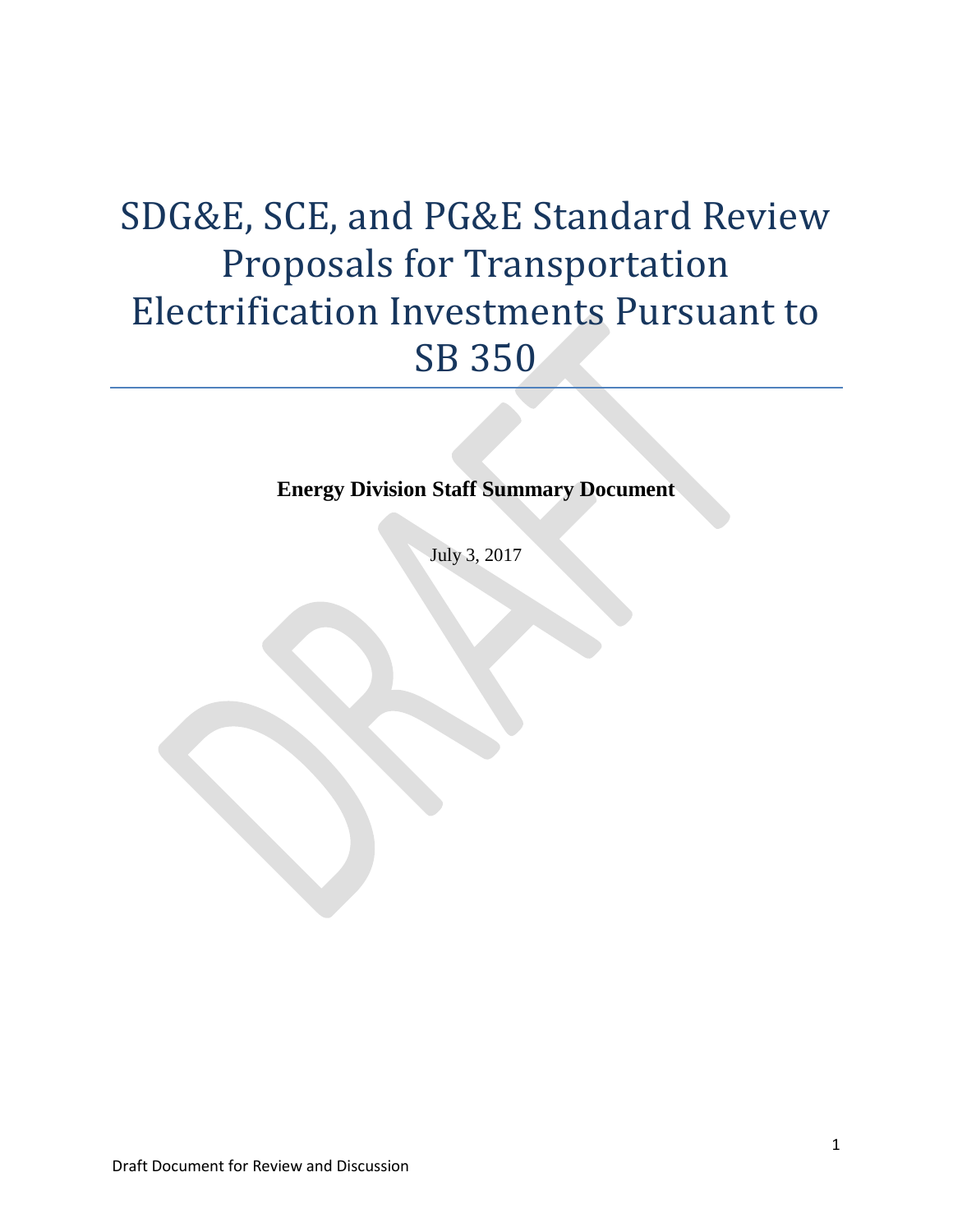# SDG&E, SCE, and PG&E Standard Review Proposals for Transportation Electrification Investments Pursuant to SB 350

**Energy Division Staff Summary Document**

July 3, 2017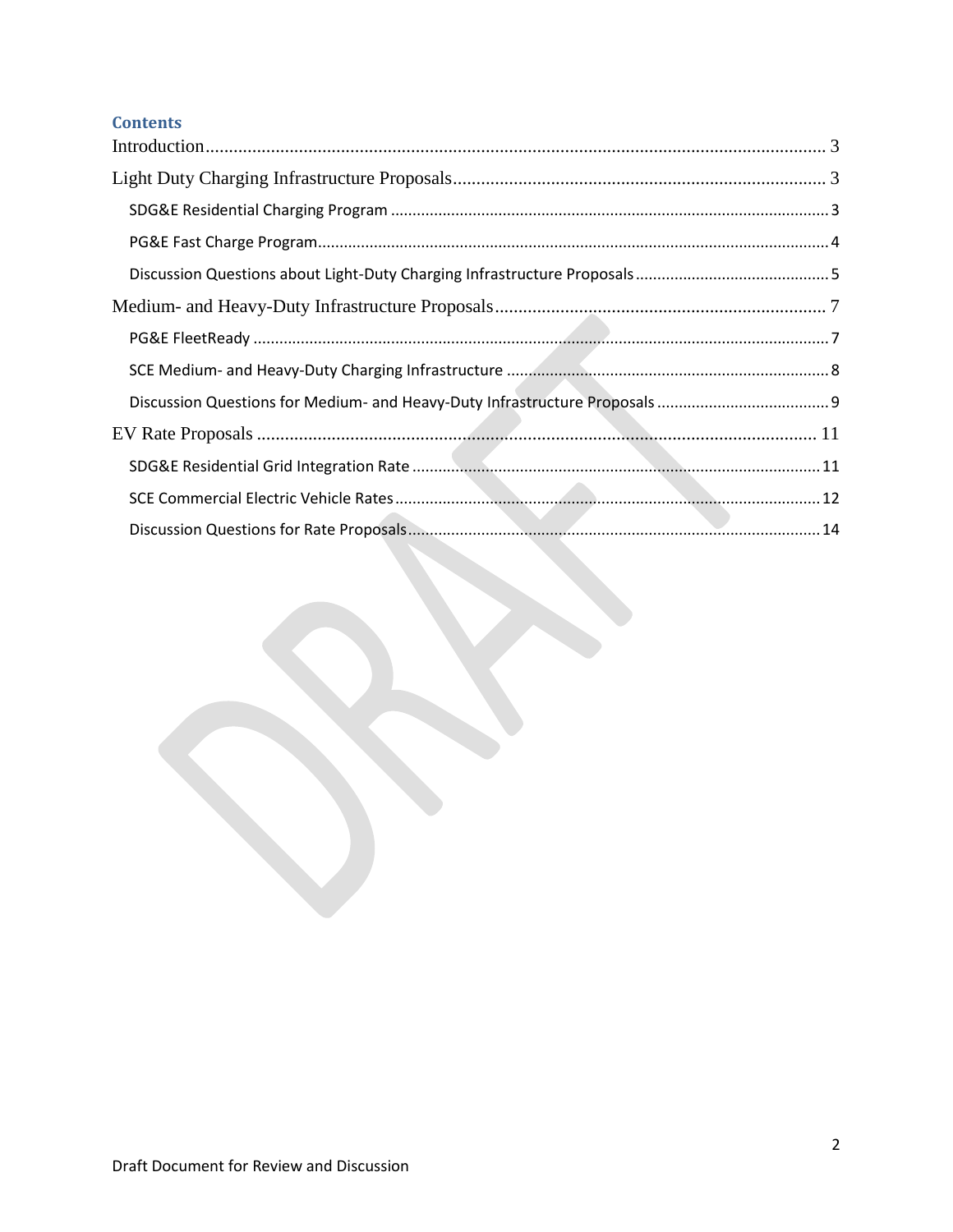#### **Contents**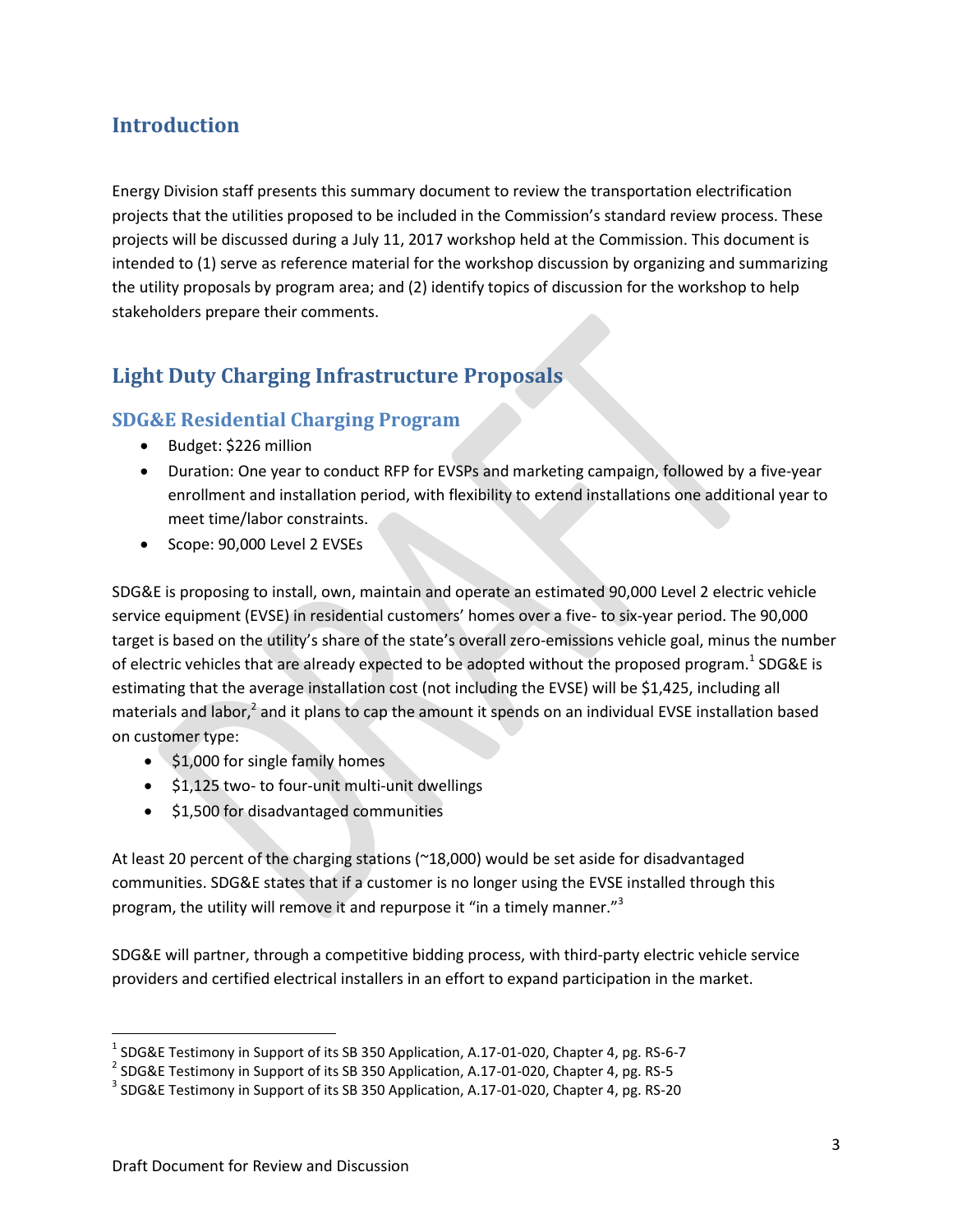# <span id="page-2-0"></span>**Introduction**

Energy Division staff presents this summary document to review the transportation electrification projects that the utilities proposed to be included in the Commission's standard review process. These projects will be discussed during a July 11, 2017 workshop held at the Commission. This document is intended to (1) serve as reference material for the workshop discussion by organizing and summarizing the utility proposals by program area; and (2) identify topics of discussion for the workshop to help stakeholders prepare their comments.

# <span id="page-2-1"></span>**Light Duty Charging Infrastructure Proposals**

### <span id="page-2-2"></span>**SDG&E Residential Charging Program**

- Budget: \$226 million
- Duration: One year to conduct RFP for EVSPs and marketing campaign, followed by a five-year enrollment and installation period, with flexibility to extend installations one additional year to meet time/labor constraints.
- Scope: 90,000 Level 2 EVSEs

SDG&E is proposing to install, own, maintain and operate an estimated 90,000 Level 2 electric vehicle service equipment (EVSE) in residential customers' homes over a five- to six-year period. The 90,000 target is based on the utility's share of the state's overall zero-emissions vehicle goal, minus the number of electric vehicles that are already expected to be adopted without the proposed program.<sup>1</sup> SDG&E is estimating that the average installation cost (not including the EVSE) will be \$1,425, including all materials and labor,<sup>2</sup> and it plans to cap the amount it spends on an individual EVSE installation based on customer type:

- $\bullet$  \$1,000 for single family homes
- \$1,125 two- to four-unit multi-unit dwellings
- $\bullet$  \$1,500 for disadvantaged communities

At least 20 percent of the charging stations (~18,000) would be set aside for disadvantaged communities. SDG&E states that if a customer is no longer using the EVSE installed through this program, the utility will remove it and repurpose it "in a timely manner."<sup>3</sup>

SDG&E will partner, through a competitive bidding process, with third-party electric vehicle service providers and certified electrical installers in an effort to expand participation in the market.

 $\overline{\phantom{a}}$ 

 $^1$  SDG&E Testimony in Support of its SB 350 Application, A.17-01-020, Chapter 4, pg. RS-6-7

<sup>&</sup>lt;sup>2</sup> SDG&E Testimony in Support of its SB 350 Application, A.17-01-020, Chapter 4, pg. RS-5

 $3$  SDG&E Testimony in Support of its SB 350 Application, A.17-01-020, Chapter 4, pg. RS-20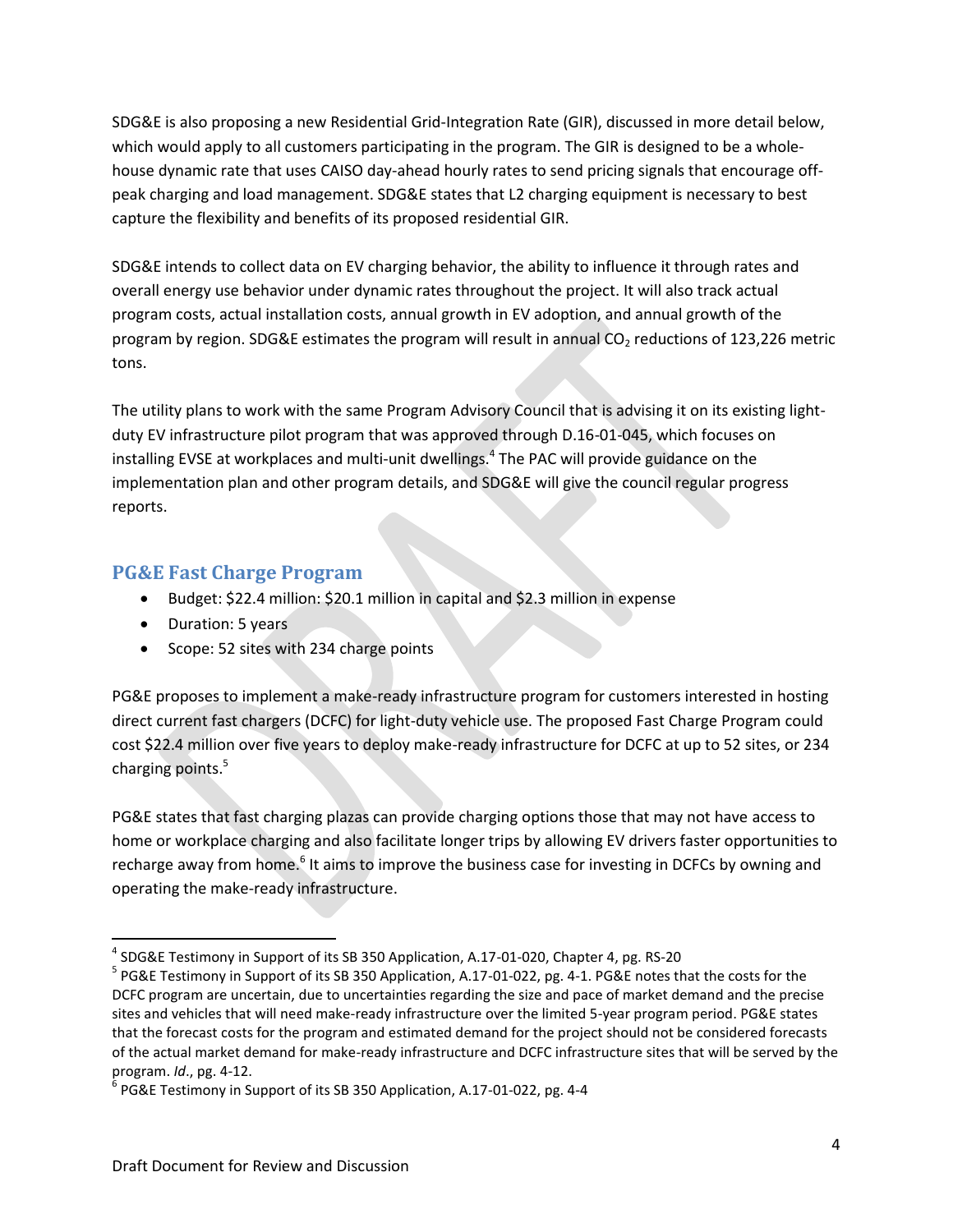SDG&E is also proposing a new Residential Grid-Integration Rate (GIR), discussed in more detail below, which would apply to all customers participating in the program. The GIR is designed to be a wholehouse dynamic rate that uses CAISO day-ahead hourly rates to send pricing signals that encourage offpeak charging and load management. SDG&E states that L2 charging equipment is necessary to best capture the flexibility and benefits of its proposed residential GIR.

SDG&E intends to collect data on EV charging behavior, the ability to influence it through rates and overall energy use behavior under dynamic rates throughout the project. It will also track actual program costs, actual installation costs, annual growth in EV adoption, and annual growth of the program by region. SDG&E estimates the program will result in annual CO<sub>2</sub> reductions of 123,226 metric tons.

The utility plans to work with the same Program Advisory Council that is advising it on its existing lightduty EV infrastructure pilot program that was approved through D.16-01-045, which focuses on installing EVSE at workplaces and multi-unit dwellings.<sup>4</sup> The PAC will provide guidance on the implementation plan and other program details, and SDG&E will give the council regular progress reports.

#### <span id="page-3-0"></span>**PG&E Fast Charge Program**

- Budget: \$22.4 million: \$20.1 million in capital and \$2.3 million in expense
- Duration: 5 years

 $\overline{\phantom{a}}$ 

• Scope: 52 sites with 234 charge points

PG&E proposes to implement a make-ready infrastructure program for customers interested in hosting direct current fast chargers (DCFC) for light-duty vehicle use. The proposed Fast Charge Program could cost \$22.4 million over five years to deploy make-ready infrastructure for DCFC at up to 52 sites, or 234 charging points.<sup>5</sup>

PG&E states that fast charging plazas can provide charging options those that may not have access to home or workplace charging and also facilitate longer trips by allowing EV drivers faster opportunities to recharge away from home.<sup>6</sup> It aims to improve the business case for investing in DCFCs by owning and operating the make-ready infrastructure.

<sup>&</sup>lt;sup>4</sup> SDG&E Testimony in Support of its SB 350 Application, A.17-01-020, Chapter 4, pg. RS-20

<sup>&</sup>lt;sup>5</sup> PG&E Testimony in Support of its SB 350 Application, A.17-01-022, pg. 4-1. PG&E notes that the costs for the DCFC program are uncertain, due to uncertainties regarding the size and pace of market demand and the precise sites and vehicles that will need make-ready infrastructure over the limited 5-year program period. PG&E states that the forecast costs for the program and estimated demand for the project should not be considered forecasts of the actual market demand for make-ready infrastructure and DCFC infrastructure sites that will be served by the program. *Id*., pg. 4-12.

 $^6$  PG&E Testimony in Support of its SB 350 Application, A.17-01-022, pg. 4-4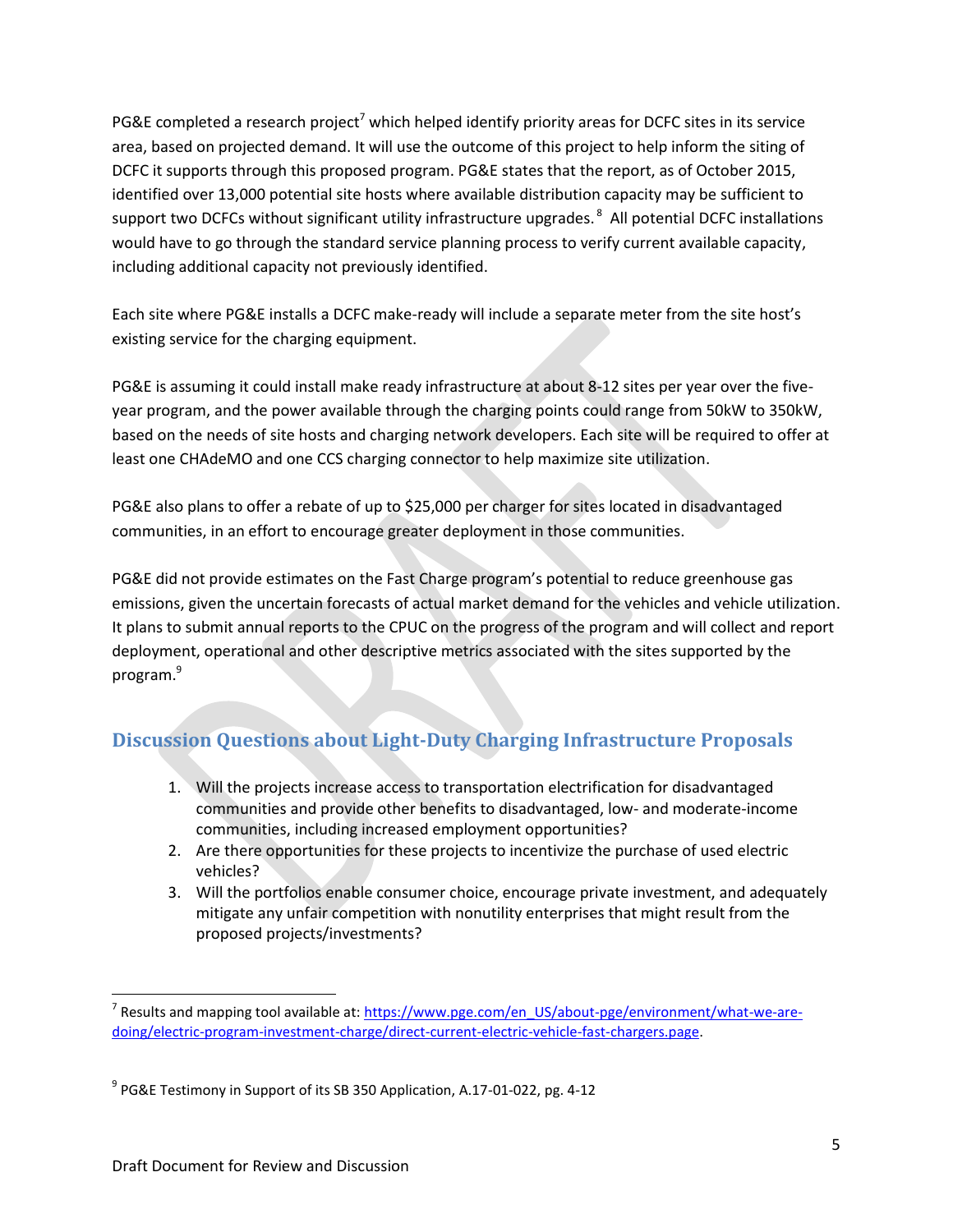PG&E completed a research project<sup>7</sup> which helped identify priority areas for DCFC sites in its service area, based on projected demand. It will use the outcome of this project to help inform the siting of DCFC it supports through this proposed program. PG&E states that the report, as of October 2015, identified over 13,000 potential site hosts where available distribution capacity may be sufficient to support two DCFCs without significant utility infrastructure upgrades.<sup>8</sup> All potential DCFC installations would have to go through the standard service planning process to verify current available capacity, including additional capacity not previously identified.

Each site where PG&E installs a DCFC make-ready will include a separate meter from the site host's existing service for the charging equipment.

PG&E is assuming it could install make ready infrastructure at about 8-12 sites per year over the fiveyear program, and the power available through the charging points could range from 50kW to 350kW, based on the needs of site hosts and charging network developers. Each site will be required to offer at least one CHAdeMO and one CCS charging connector to help maximize site utilization.

PG&E also plans to offer a rebate of up to \$25,000 per charger for sites located in disadvantaged communities, in an effort to encourage greater deployment in those communities.

PG&E did not provide estimates on the Fast Charge program's potential to reduce greenhouse gas emissions, given the uncertain forecasts of actual market demand for the vehicles and vehicle utilization. It plans to submit annual reports to the CPUC on the progress of the program and will collect and report deployment, operational and other descriptive metrics associated with the sites supported by the program.<sup>9</sup>

## <span id="page-4-0"></span>**Discussion Questions about Light-Duty Charging Infrastructure Proposals**

- 1. Will the projects increase access to transportation electrification for disadvantaged communities and provide other benefits to disadvantaged, low- and moderate-income communities, including increased employment opportunities?
- 2. Are there opportunities for these projects to incentivize the purchase of used electric vehicles?
- 3. Will the portfolios enable consumer choice, encourage private investment, and adequately mitigate any unfair competition with nonutility enterprises that might result from the proposed projects/investments?

 $\overline{a}$ 

<sup>&</sup>lt;sup>7</sup> Results and mapping tool available at: **https://www.pge.com/en\_US/about-pge/environment/what-we-are**[doing/electric-program-investment-charge/direct-current-electric-vehicle-fast-chargers.page.](https://www.pge.com/en_US/about-pge/environment/what-we-are-doing/electric-program-investment-charge/direct-current-electric-vehicle-fast-chargers.page) 

<sup>&</sup>lt;sup>9</sup> PG&E Testimony in Support of its SB 350 Application, A.17-01-022, pg. 4-12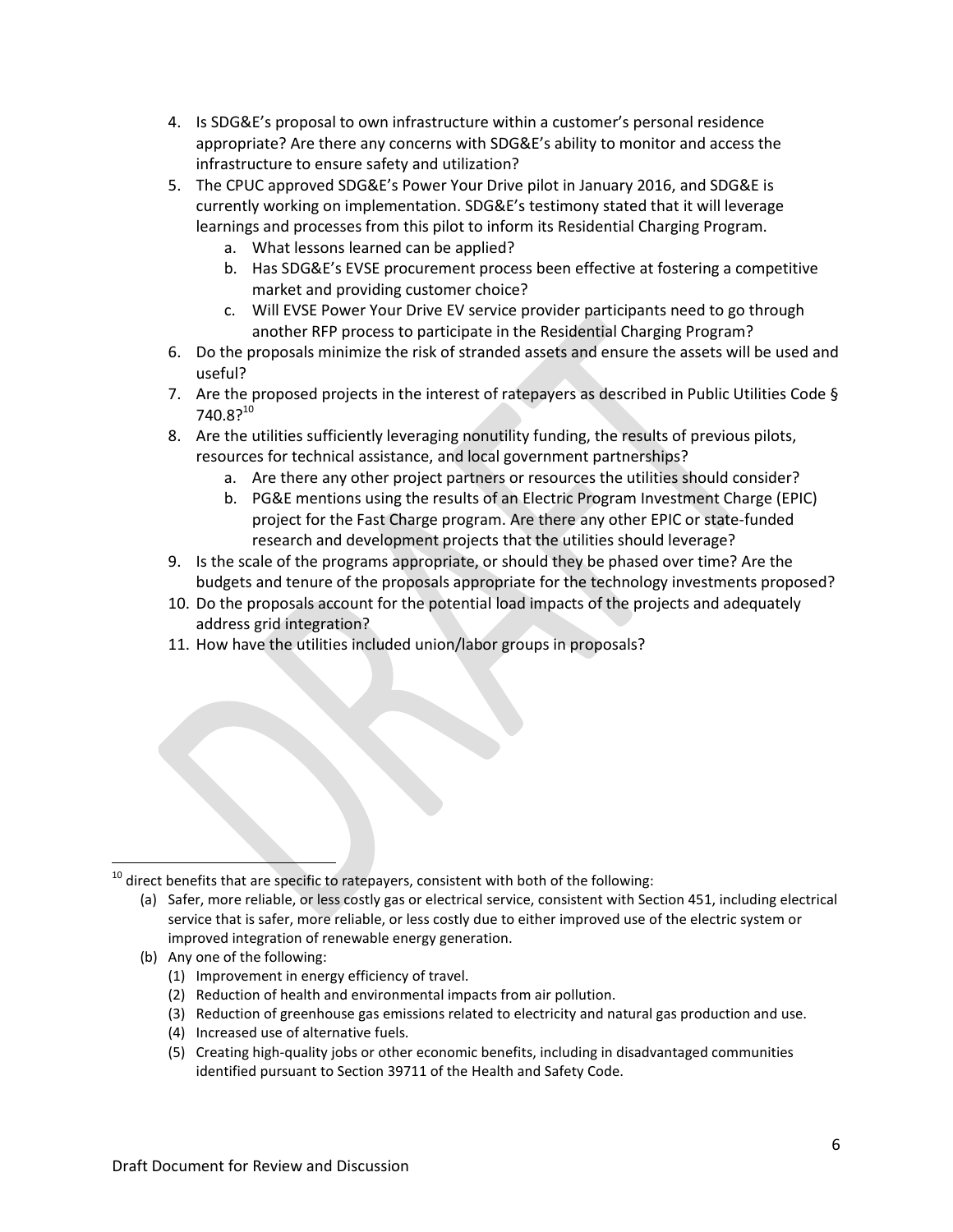- 4. Is SDG&E's proposal to own infrastructure within a customer's personal residence appropriate? Are there any concerns with SDG&E's ability to monitor and access the infrastructure to ensure safety and utilization?
- 5. The CPUC approved SDG&E's Power Your Drive pilot in January 2016, and SDG&E is currently working on implementation. SDG&E's testimony stated that it will leverage learnings and processes from this pilot to inform its Residential Charging Program.
	- a. What lessons learned can be applied?
	- b. Has SDG&E's EVSE procurement process been effective at fostering a competitive market and providing customer choice?
	- c. Will EVSE Power Your Drive EV service provider participants need to go through another RFP process to participate in the Residential Charging Program?
- 6. Do the proposals minimize the risk of stranded assets and ensure the assets will be used and useful?
- 7. Are the proposed projects in the interest of ratepayers as described in Public Utilities Code § 740.8?<sup>10</sup>
- 8. Are the utilities sufficiently leveraging nonutility funding, the results of previous pilots, resources for technical assistance, and local government partnerships?
	- a. Are there any other project partners or resources the utilities should consider?
	- b. PG&E mentions using the results of an Electric Program Investment Charge (EPIC) project for the Fast Charge program. Are there any other EPIC or state-funded research and development projects that the utilities should leverage?
- 9. Is the scale of the programs appropriate, or should they be phased over time? Are the budgets and tenure of the proposals appropriate for the technology investments proposed?
- 10. Do the proposals account for the potential load impacts of the projects and adequately address grid integration?
- 11. How have the utilities included union/labor groups in proposals?

- (a) Safer, more reliable, or less costly gas or electrical service, consistent with Section 451, including electrical service that is safer, more reliable, or less costly due to either improved use of the electric system or improved integration of renewable energy generation.
- (b) Any one of the following:
	- (1) Improvement in energy efficiency of travel.
	- (2) Reduction of health and environmental impacts from air pollution.
	- (3) Reduction of greenhouse gas emissions related to electricity and natural gas production and use.
	- (4) Increased use of alternative fuels.
	- (5) Creating high-quality jobs or other economic benefits, including in disadvantaged communities identified pursuant to Section 39711 of the Health and Safety Code.

 $\overline{\phantom{a}}$  $10$  direct benefits that are specific to ratepayers, consistent with both of the following: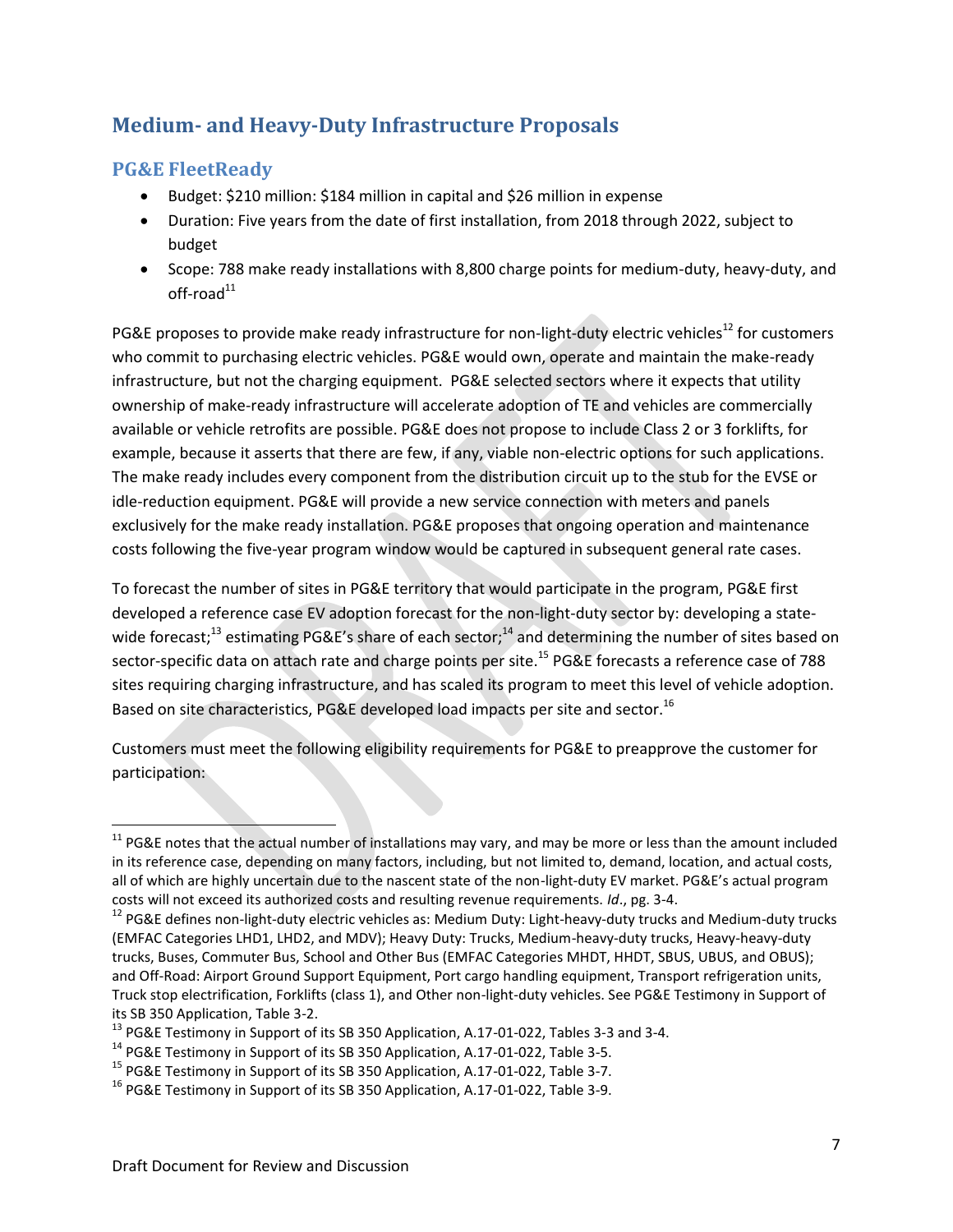# <span id="page-6-0"></span>**Medium- and Heavy-Duty Infrastructure Proposals**

# <span id="page-6-1"></span>**PG&E FleetReady**

- Budget: \$210 million: \$184 million in capital and \$26 million in expense
- Duration: Five years from the date of first installation, from 2018 through 2022, subject to budget
- Scope: 788 make ready installations with 8,800 charge points for medium-duty, heavy-duty, and  $off$ -road $^{11}$

PG&E proposes to provide make ready infrastructure for non-light-duty electric vehicles<sup>12</sup> for customers who commit to purchasing electric vehicles. PG&E would own, operate and maintain the make-ready infrastructure, but not the charging equipment. PG&E selected sectors where it expects that utility ownership of make-ready infrastructure will accelerate adoption of TE and vehicles are commercially available or vehicle retrofits are possible. PG&E does not propose to include Class 2 or 3 forklifts, for example, because it asserts that there are few, if any, viable non-electric options for such applications. The make ready includes every component from the distribution circuit up to the stub for the EVSE or idle-reduction equipment. PG&E will provide a new service connection with meters and panels exclusively for the make ready installation. PG&E proposes that ongoing operation and maintenance costs following the five-year program window would be captured in subsequent general rate cases.

To forecast the number of sites in PG&E territory that would participate in the program, PG&E first developed a reference case EV adoption forecast for the non-light-duty sector by: developing a statewide forecast;<sup>13</sup> estimating PG&E's share of each sector;<sup>14</sup> and determining the number of sites based on sector-specific data on attach rate and charge points per site.<sup>15</sup> PG&E forecasts a reference case of 788 sites requiring charging infrastructure, and has scaled its program to meet this level of vehicle adoption. Based on site characteristics, PG&E developed load impacts per site and sector.<sup>16</sup>

Customers must meet the following eligibility requirements for PG&E to preapprove the customer for participation:

 $\overline{\phantom{a}}$  $11$  PG&E notes that the actual number of installations may vary, and may be more or less than the amount included in its reference case, depending on many factors, including, but not limited to, demand, location, and actual costs, all of which are highly uncertain due to the nascent state of the non-light-duty EV market. PG&E's actual program costs will not exceed its authorized costs and resulting revenue requirements. *Id*., pg. 3-4.

<sup>&</sup>lt;sup>12</sup> PG&E defines non-light-duty electric vehicles as: Medium Duty: Light-heavy-duty trucks and Medium-duty trucks (EMFAC Categories LHD1, LHD2, and MDV); Heavy Duty: Trucks, Medium-heavy-duty trucks, Heavy-heavy-duty trucks, Buses, Commuter Bus, School and Other Bus (EMFAC Categories MHDT, HHDT, SBUS, UBUS, and OBUS); and Off-Road: Airport Ground Support Equipment, Port cargo handling equipment, Transport refrigeration units, Truck stop electrification, Forklifts (class 1), and Other non-light-duty vehicles. See PG&E Testimony in Support of its SB 350 Application, Table 3-2.

<sup>&</sup>lt;sup>13</sup> PG&E Testimony in Support of its SB 350 Application, A.17-01-022, Tables 3-3 and 3-4.

<sup>&</sup>lt;sup>14</sup> PG&E Testimony in Support of its SB 350 Application, A.17-01-022, Table 3-5.

<sup>&</sup>lt;sup>15</sup> PG&E Testimony in Support of its SB 350 Application, A.17-01-022, Table 3-7.

<sup>&</sup>lt;sup>16</sup> PG&E Testimony in Support of its SB 350 Application, A.17-01-022, Table 3-9.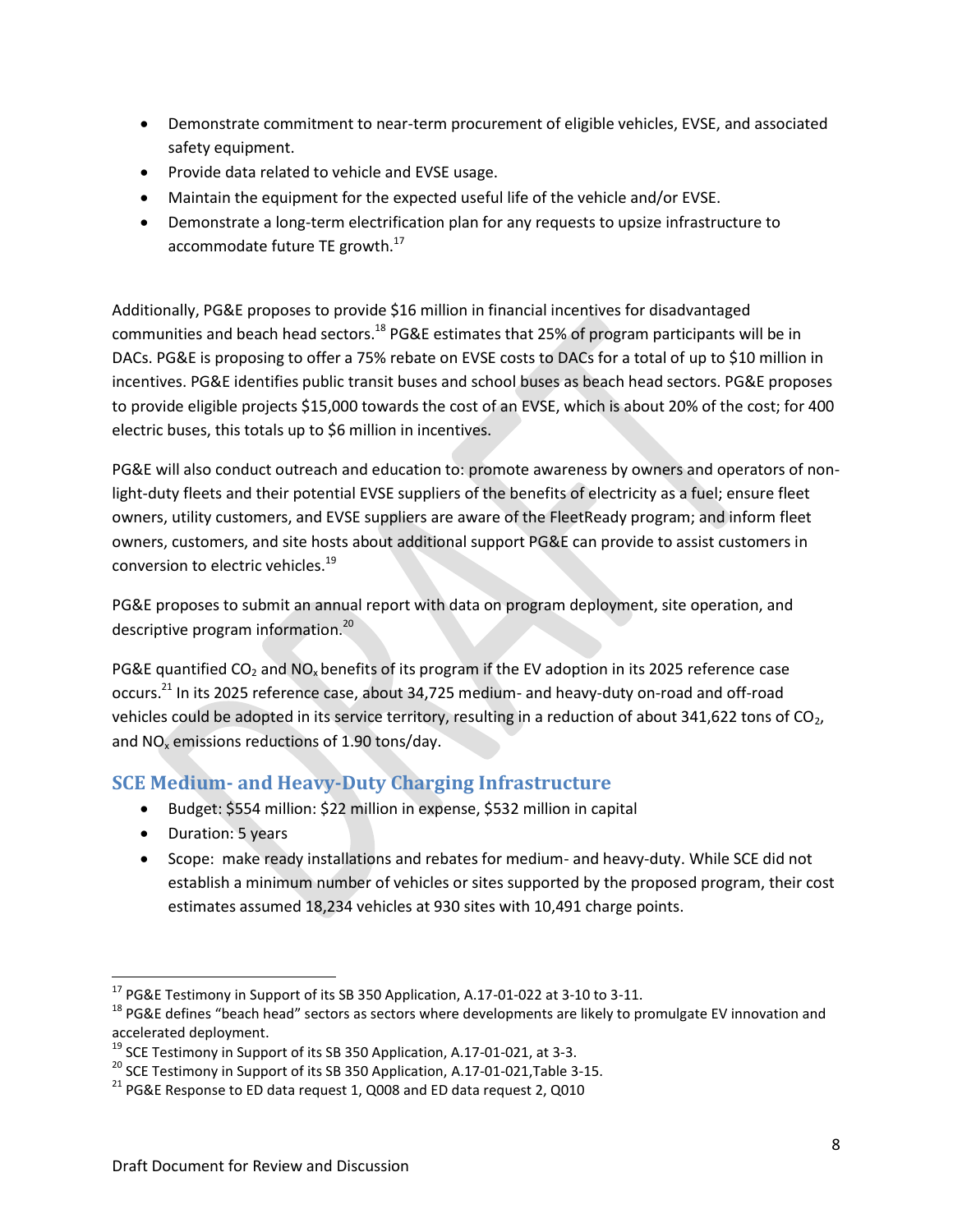- Demonstrate commitment to near-term procurement of eligible vehicles, EVSE, and associated safety equipment.
- Provide data related to vehicle and EVSE usage.
- Maintain the equipment for the expected useful life of the vehicle and/or EVSE.
- Demonstrate a long-term electrification plan for any requests to upsize infrastructure to accommodate future TE growth.<sup>17</sup>

Additionally, PG&E proposes to provide \$16 million in financial incentives for disadvantaged communities and beach head sectors.<sup>18</sup> PG&E estimates that 25% of program participants will be in DACs. PG&E is proposing to offer a 75% rebate on EVSE costs to DACs for a total of up to \$10 million in incentives. PG&E identifies public transit buses and school buses as beach head sectors. PG&E proposes to provide eligible projects \$15,000 towards the cost of an EVSE, which is about 20% of the cost; for 400 electric buses, this totals up to \$6 million in incentives.

PG&E will also conduct outreach and education to: promote awareness by owners and operators of nonlight-duty fleets and their potential EVSE suppliers of the benefits of electricity as a fuel; ensure fleet owners, utility customers, and EVSE suppliers are aware of the FleetReady program; and inform fleet owners, customers, and site hosts about additional support PG&E can provide to assist customers in conversion to electric vehicles.<sup>19</sup>

PG&E proposes to submit an annual report with data on program deployment, site operation, and descriptive program information.<sup>20</sup>

PG&E quantified  $CO<sub>2</sub>$  and NO<sub>x</sub> benefits of its program if the EV adoption in its 2025 reference case occurs.<sup>21</sup> In its 2025 reference case, about 34,725 medium- and heavy-duty on-road and off-road vehicles could be adopted in its service territory, resulting in a reduction of about 341,622 tons of  $CO<sub>2</sub>$ , and  $NO<sub>x</sub>$  emissions reductions of 1.90 tons/day.

#### <span id="page-7-0"></span>**SCE Medium- and Heavy-Duty Charging Infrastructure**

- Budget: \$554 million: \$22 million in expense, \$532 million in capital
- Duration: 5 years

l

 Scope: make ready installations and rebates for medium- and heavy-duty. While SCE did not establish a minimum number of vehicles or sites supported by the proposed program, their cost estimates assumed 18,234 vehicles at 930 sites with 10,491 charge points.

 $17$  PG&E Testimony in Support of its SB 350 Application, A.17-01-022 at 3-10 to 3-11.

<sup>&</sup>lt;sup>18</sup> PG&E defines "beach head" sectors as sectors where developments are likely to promulgate EV innovation and accelerated deployment.

 $19$  SCE Testimony in Support of its SB 350 Application, A.17-01-021, at 3-3.

 $20$  SCE Testimony in Support of its SB 350 Application, A.17-01-021, Table 3-15.

<sup>&</sup>lt;sup>21</sup> PG&E Response to ED data request 1, Q008 and ED data request 2, Q010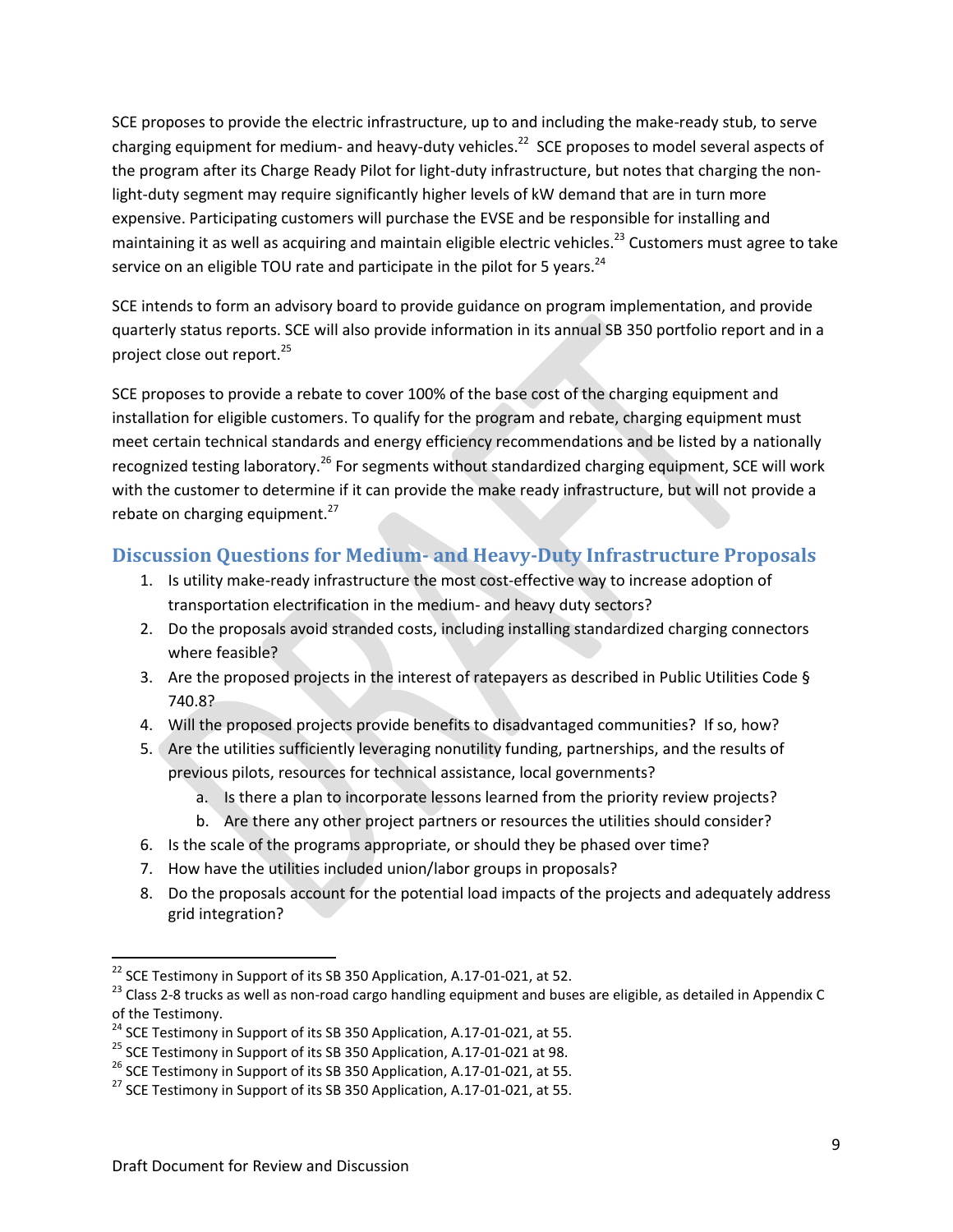SCE proposes to provide the electric infrastructure, up to and including the make-ready stub, to serve charging equipment for medium- and heavy-duty vehicles.<sup>22</sup> SCE proposes to model several aspects of the program after its Charge Ready Pilot for light-duty infrastructure, but notes that charging the nonlight-duty segment may require significantly higher levels of kW demand that are in turn more expensive. Participating customers will purchase the EVSE and be responsible for installing and maintaining it as well as acquiring and maintain eligible electric vehicles.<sup>23</sup> Customers must agree to take service on an eligible TOU rate and participate in the pilot for 5 vears. $^{24}$ 

SCE intends to form an advisory board to provide guidance on program implementation, and provide quarterly status reports. SCE will also provide information in its annual SB 350 portfolio report and in a project close out report.<sup>25</sup>

SCE proposes to provide a rebate to cover 100% of the base cost of the charging equipment and installation for eligible customers. To qualify for the program and rebate, charging equipment must meet certain technical standards and energy efficiency recommendations and be listed by a nationally recognized testing laboratory.<sup>26</sup> For segments without standardized charging equipment, SCE will work with the customer to determine if it can provide the make ready infrastructure, but will not provide a rebate on charging equipment.<sup>27</sup>

#### <span id="page-8-0"></span>**Discussion Questions for Medium- and Heavy-Duty Infrastructure Proposals**

- 1. Is utility make-ready infrastructure the most cost-effective way to increase adoption of transportation electrification in the medium- and heavy duty sectors?
- 2. Do the proposals avoid stranded costs, including installing standardized charging connectors where feasible?
- 3. Are the proposed projects in the interest of ratepayers as described in Public Utilities Code § 740.8?
- 4. Will the proposed projects provide benefits to disadvantaged communities? If so, how?
- 5. Are the utilities sufficiently leveraging nonutility funding, partnerships, and the results of previous pilots, resources for technical assistance, local governments?
	- a. Is there a plan to incorporate lessons learned from the priority review projects?
	- b. Are there any other project partners or resources the utilities should consider?
- 6. Is the scale of the programs appropriate, or should they be phased over time?
- 7. How have the utilities included union/labor groups in proposals?
- 8. Do the proposals account for the potential load impacts of the projects and adequately address grid integration?

 $\overline{\phantom{a}}$ 

<sup>&</sup>lt;sup>22</sup> SCE Testimony in Support of its SB 350 Application, A.17-01-021, at 52.

<sup>&</sup>lt;sup>23</sup> Class 2-8 trucks as well as non-road cargo handling equipment and buses are eligible, as detailed in Appendix C of the Testimony.

<sup>&</sup>lt;sup>24</sup> SCE Testimony in Support of its SB 350 Application, A.17-01-021, at 55.

<sup>&</sup>lt;sup>25</sup> SCE Testimony in Support of its SB 350 Application, A.17-01-021 at 98.

<sup>&</sup>lt;sup>26</sup> SCE Testimony in Support of its SB 350 Application, A.17-01-021, at 55.

<sup>&</sup>lt;sup>27</sup> SCE Testimony in Support of its SB 350 Application, A.17-01-021, at 55.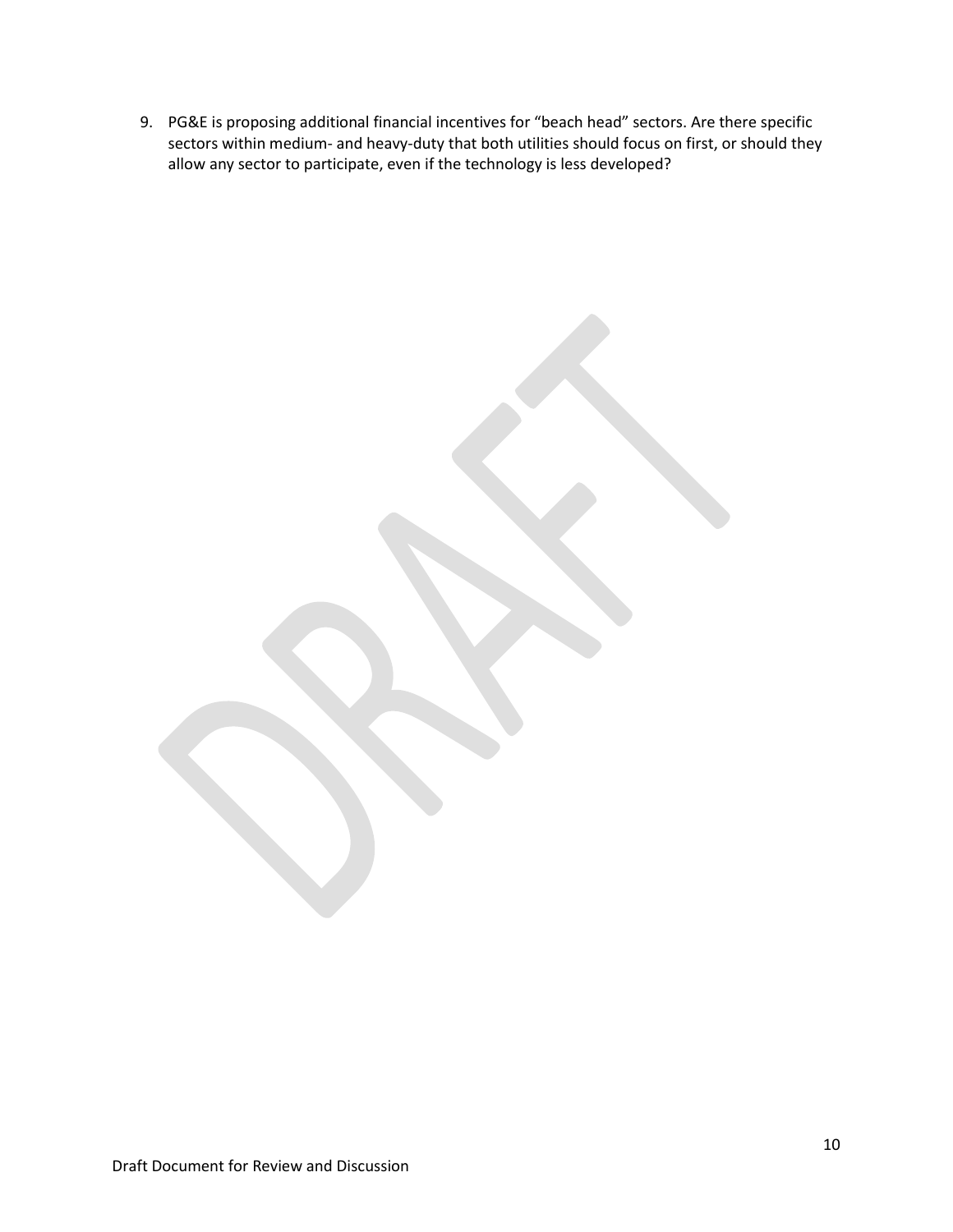9. PG&E is proposing additional financial incentives for "beach head" sectors. Are there specific sectors within medium- and heavy-duty that both utilities should focus on first, or should they allow any sector to participate, even if the technology is less developed?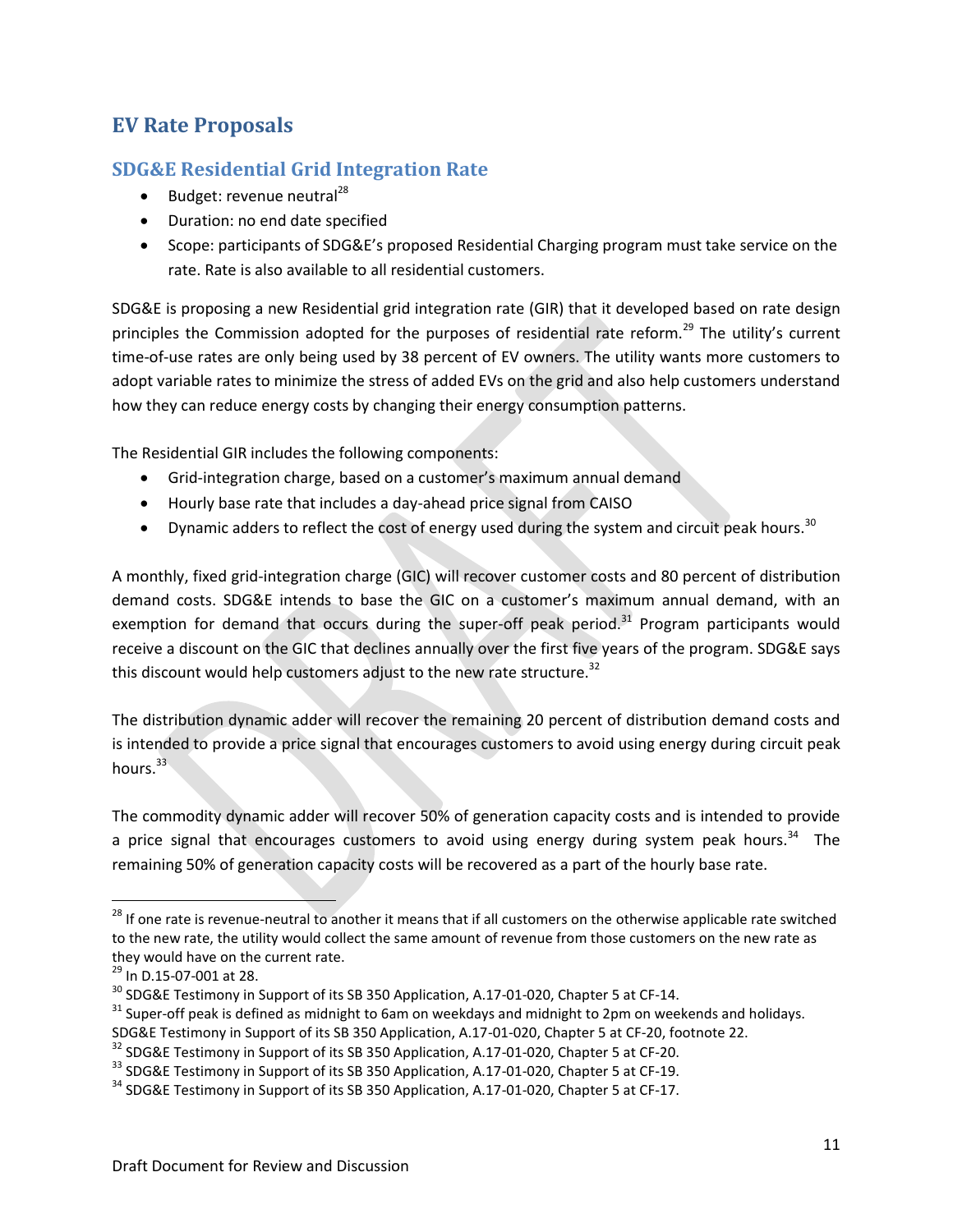# <span id="page-10-0"></span>**EV Rate Proposals**

### <span id="page-10-1"></span>**SDG&E Residential Grid Integration Rate**

- $\bullet$  Budget: revenue neutral<sup>28</sup>
- Duration: no end date specified
- Scope: participants of SDG&E's proposed Residential Charging program must take service on the rate. Rate is also available to all residential customers.

SDG&E is proposing a new Residential grid integration rate (GIR) that it developed based on rate design principles the Commission adopted for the purposes of residential rate reform.<sup>29</sup> The utility's current time-of-use rates are only being used by 38 percent of EV owners. The utility wants more customers to adopt variable rates to minimize the stress of added EVs on the grid and also help customers understand how they can reduce energy costs by changing their energy consumption patterns.

The Residential GIR includes the following components:

- Grid-integration charge, based on a customer's maximum annual demand
- Hourly base rate that includes a day-ahead price signal from CAISO
- Dynamic adders to reflect the cost of energy used during the system and circuit peak hours.<sup>30</sup>

A monthly, fixed grid-integration charge (GIC) will recover customer costs and 80 percent of distribution demand costs. SDG&E intends to base the GIC on a customer's maximum annual demand, with an exemption for demand that occurs during the super-off peak period. $31$  Program participants would receive a discount on the GIC that declines annually over the first five years of the program. SDG&E says this discount would help customers adjust to the new rate structure. $32$ 

The distribution dynamic adder will recover the remaining 20 percent of distribution demand costs and is intended to provide a price signal that encourages customers to avoid using energy during circuit peak hours. $33$ 

The commodity dynamic adder will recover 50% of generation capacity costs and is intended to provide a price signal that encourages customers to avoid using energy during system peak hours.<sup>34</sup> The remaining 50% of generation capacity costs will be recovered as a part of the hourly base rate.

 $\overline{\phantom{a}}$ 

<sup>&</sup>lt;sup>28</sup> If one rate is revenue-neutral to another it means that if all customers on the otherwise applicable rate switched to the new rate, the utility would collect the same amount of revenue from those customers on the new rate as they would have on the current rate.

<sup>&</sup>lt;sup>29</sup> In D.15-07-001 at 28.

 $30$  SDG&E Testimony in Support of its SB 350 Application, A.17-01-020, Chapter 5 at CF-14.

 $31$  Super-off peak is defined as midnight to 6am on weekdays and midnight to 2pm on weekends and holidays. SDG&E Testimony in Support of its SB 350 Application, A.17-01-020, Chapter 5 at CF-20, footnote 22.

<sup>&</sup>lt;sup>32</sup> SDG&E Testimony in Support of its SB 350 Application, A.17-01-020, Chapter 5 at CF-20.

<sup>&</sup>lt;sup>33</sup> SDG&E Testimony in Support of its SB 350 Application, A.17-01-020, Chapter 5 at CF-19.

<sup>&</sup>lt;sup>34</sup> SDG&E Testimony in Support of its SB 350 Application, A.17-01-020, Chapter 5 at CF-17.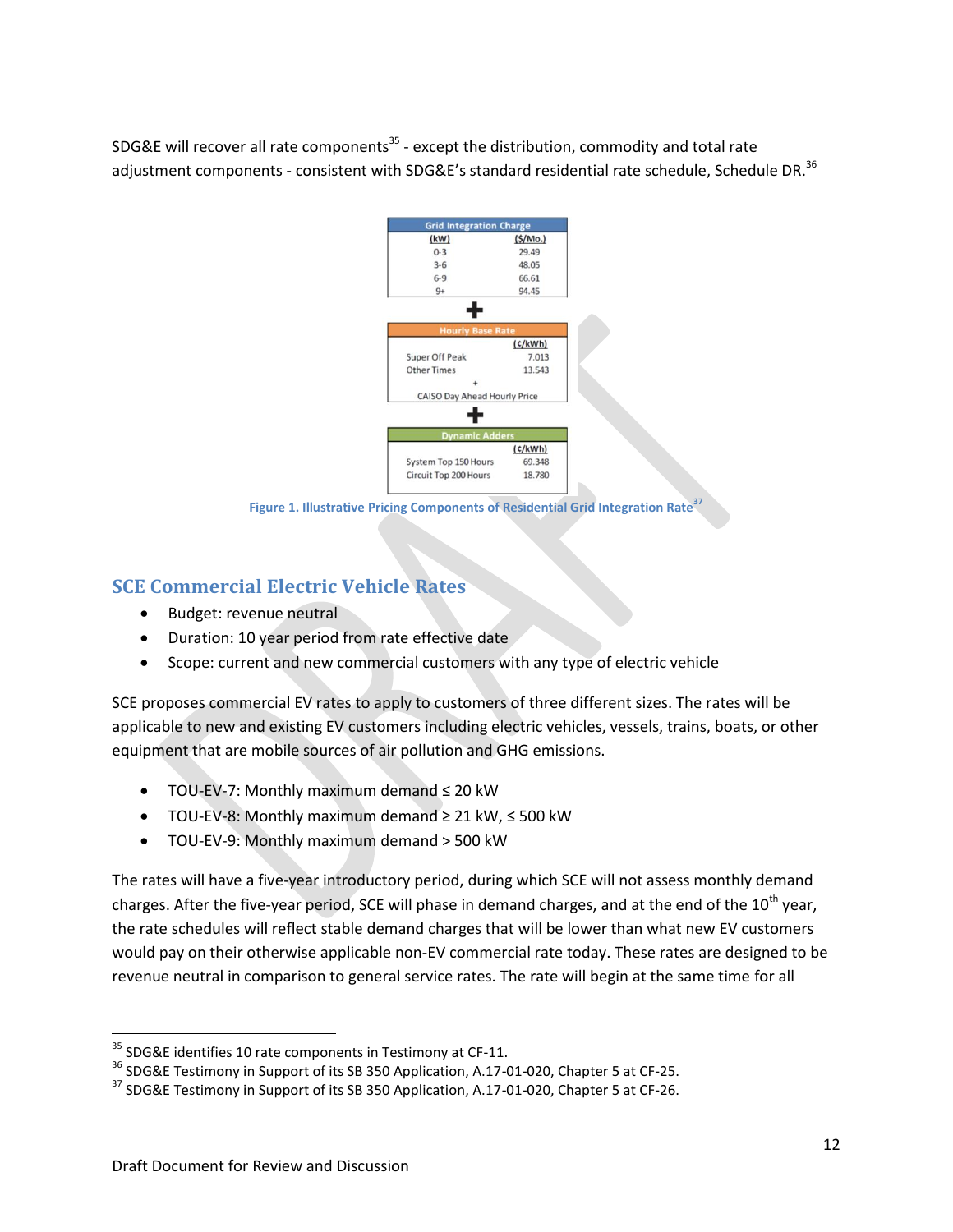SDG&E will recover all rate components<sup>35</sup> - except the distribution, commodity and total rate adjustment components - consistent with SDG&E's standard residential rate schedule, Schedule DR.<sup>36</sup>



**Figure 1. Illustrative Pricing Components of Residential Grid Integration Rate<sup>37</sup>**

#### <span id="page-11-0"></span>**SCE Commercial Electric Vehicle Rates**

- Budget: revenue neutral
- Duration: 10 year period from rate effective date
- Scope: current and new commercial customers with any type of electric vehicle

SCE proposes commercial EV rates to apply to customers of three different sizes. The rates will be applicable to new and existing EV customers including electric vehicles, vessels, trains, boats, or other equipment that are mobile sources of air pollution and GHG emissions.

- TOU-EV-7: Monthly maximum demand ≤ 20 kW
- TOU-EV-8: Monthly maximum demand ≥ 21 kW, ≤ 500 kW
- TOU-EV-9: Monthly maximum demand > 500 kW

The rates will have a five-year introductory period, during which SCE will not assess monthly demand charges. After the five-year period, SCE will phase in demand charges, and at the end of the  $10^{th}$  year, the rate schedules will reflect stable demand charges that will be lower than what new EV customers would pay on their otherwise applicable non-EV commercial rate today. These rates are designed to be revenue neutral in comparison to general service rates. The rate will begin at the same time for all

 $\overline{\phantom{a}}$  $35$  SDG&E identifies 10 rate components in Testimony at CF-11.

 $36$  SDG&E Testimony in Support of its SB 350 Application, A.17-01-020, Chapter 5 at CF-25.

<sup>&</sup>lt;sup>37</sup> SDG&E Testimony in Support of its SB 350 Application, A.17-01-020, Chapter 5 at CF-26.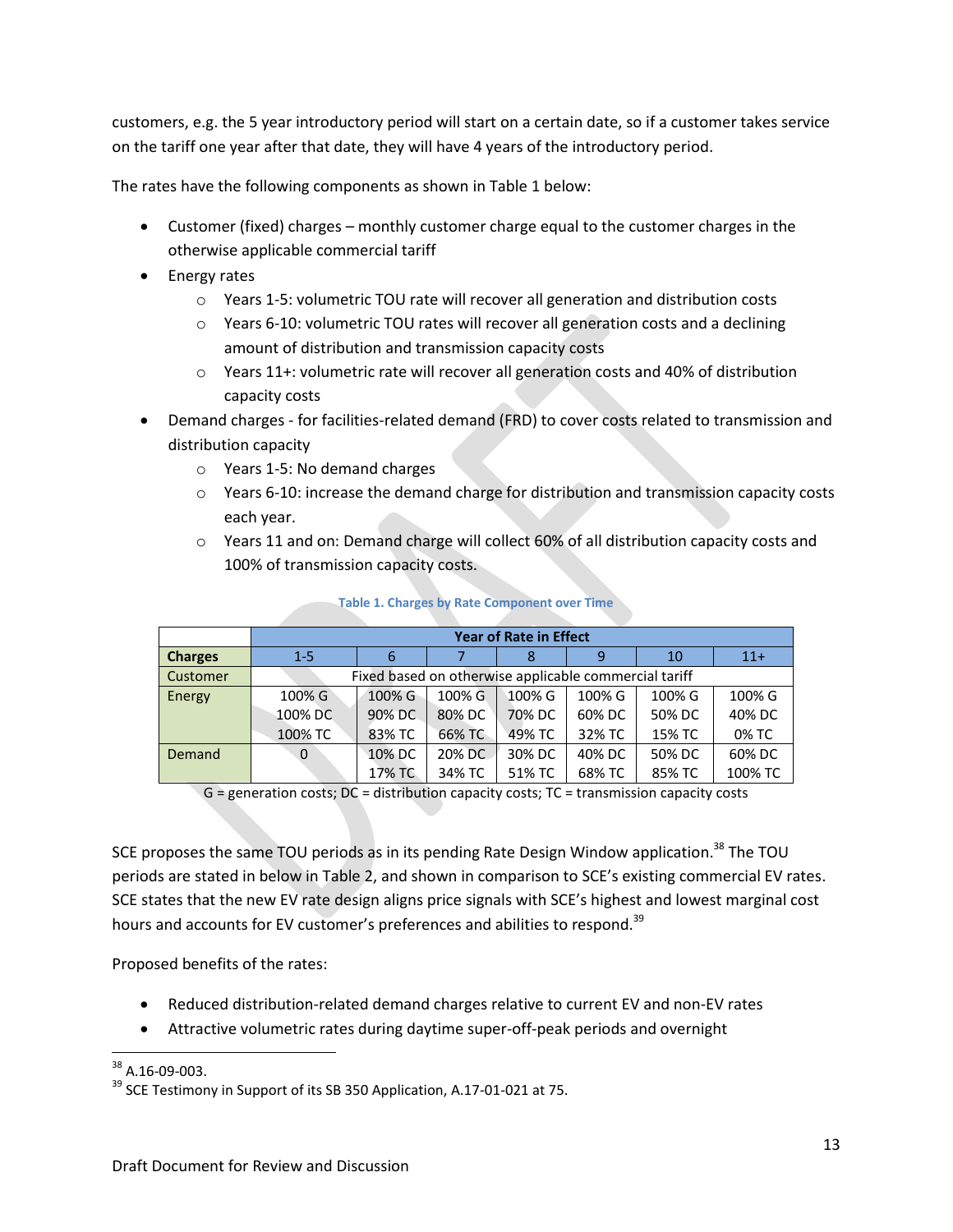customers, e.g. the 5 year introductory period will start on a certain date, so if a customer takes service on the tariff one year after that date, they will have 4 years of the introductory period.

The rates have the following components as shown i[n Table 1](#page-12-0) below:

- Customer (fixed) charges monthly customer charge equal to the customer charges in the otherwise applicable commercial tariff
- Energy rates
	- o Years 1-5: volumetric TOU rate will recover all generation and distribution costs
	- o Years 6-10: volumetric TOU rates will recover all generation costs and a declining amount of distribution and transmission capacity costs
	- $\circ$  Years 11+: volumetric rate will recover all generation costs and 40% of distribution capacity costs
- Demand charges for facilities-related demand (FRD) to cover costs related to transmission and distribution capacity
	- o Years 1-5: No demand charges
	- o Years 6-10: increase the demand charge for distribution and transmission capacity costs each year.
	- $\circ$  Years 11 and on: Demand charge will collect 60% of all distribution capacity costs and 100% of transmission capacity costs.

<span id="page-12-0"></span>

|                | <b>Year of Rate in Effect</b>                         |        |        |        |        |        |         |  |  |
|----------------|-------------------------------------------------------|--------|--------|--------|--------|--------|---------|--|--|
| <b>Charges</b> | $1 - 5$                                               |        |        |        | q      | 10     | $11+$   |  |  |
| Customer       | Fixed based on otherwise applicable commercial tariff |        |        |        |        |        |         |  |  |
| Energy         | 100% G                                                | 100% G | 100% G | 100% G | 100% G | 100% G | 100% G  |  |  |
|                | 100% DC                                               | 90% DC | 80% DC | 70% DC | 60% DC | 50% DC | 40% DC  |  |  |
|                | 100% TC                                               | 83% TC | 66% TC | 49% TC | 32% TC | 15% TC | 0% TC   |  |  |
| <b>Demand</b>  | $\Omega$                                              | 10% DC | 20% DC | 30% DC | 40% DC | 50% DC | 60% DC  |  |  |
|                |                                                       | 17% TC | 34% TC | 51% TC | 68% TC | 85% TC | 100% TC |  |  |

#### **Table 1. Charges by Rate Component over Time**

 $G =$  generation costs;  $DC =$  distribution capacity costs;  $TC =$  transmission capacity costs

SCE proposes the same TOU periods as in its pending Rate Design Window application.<sup>38</sup> The TOU periods are stated in below in [Table 2](#page-14-0), and shown in comparison to SCE's existing commercial EV rates. SCE states that the new EV rate design aligns price signals with SCE's highest and lowest marginal cost hours and accounts for EV customer's preferences and abilities to respond.<sup>39</sup>

Proposed benefits of the rates:

- Reduced distribution-related demand charges relative to current EV and non-EV rates
- Attractive volumetric rates during daytime super-off-peak periods and overnight

 $\overline{\phantom{a}}$  $38$  A.16-09-003.

<sup>&</sup>lt;sup>39</sup> SCE Testimony in Support of its SB 350 Application, A.17-01-021 at 75.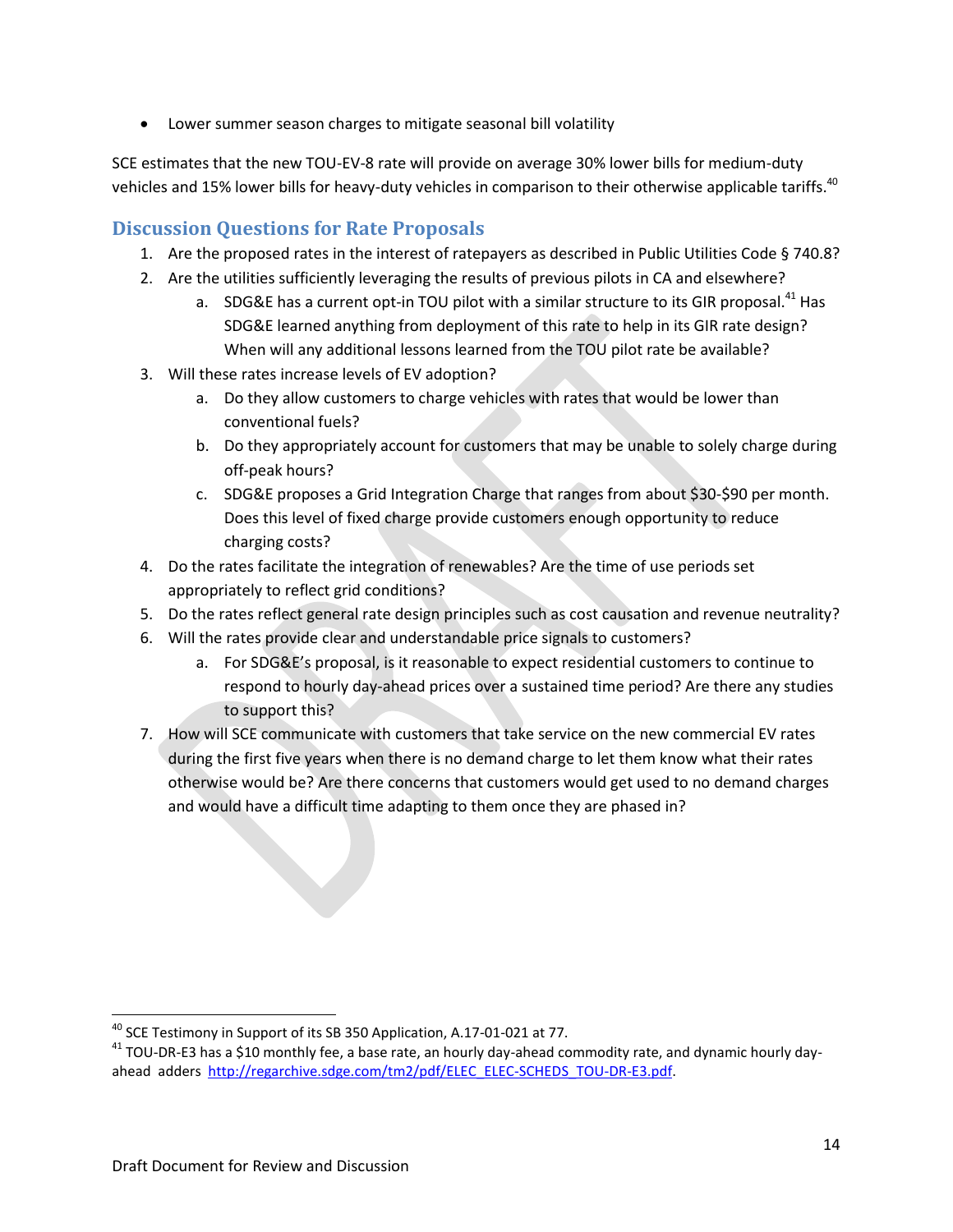Lower summer season charges to mitigate seasonal bill volatility

SCE estimates that the new TOU-EV-8 rate will provide on average 30% lower bills for medium-duty vehicles and 15% lower bills for heavy-duty vehicles in comparison to their otherwise applicable tariffs.<sup>40</sup>

### <span id="page-13-0"></span>**Discussion Questions for Rate Proposals**

- 1. Are the proposed rates in the interest of ratepayers as described in Public Utilities Code § 740.8?
- 2. Are the utilities sufficiently leveraging the results of previous pilots in CA and elsewhere?
	- a. SDG&E has a current opt-in TOU pilot with a similar structure to its GIR proposal.<sup>41</sup> Has SDG&E learned anything from deployment of this rate to help in its GIR rate design? When will any additional lessons learned from the TOU pilot rate be available?
- 3. Will these rates increase levels of EV adoption?
	- a. Do they allow customers to charge vehicles with rates that would be lower than conventional fuels?
	- b. Do they appropriately account for customers that may be unable to solely charge during off-peak hours?
	- c. SDG&E proposes a Grid Integration Charge that ranges from about \$30-\$90 per month. Does this level of fixed charge provide customers enough opportunity to reduce charging costs?
- 4. Do the rates facilitate the integration of renewables? Are the time of use periods set appropriately to reflect grid conditions?
- 5. Do the rates reflect general rate design principles such as cost causation and revenue neutrality?
- 6. Will the rates provide clear and understandable price signals to customers?
	- a. For SDG&E's proposal, is it reasonable to expect residential customers to continue to respond to hourly day-ahead prices over a sustained time period? Are there any studies to support this?
- 7. How will SCE communicate with customers that take service on the new commercial EV rates during the first five years when there is no demand charge to let them know what their rates otherwise would be? Are there concerns that customers would get used to no demand charges and would have a difficult time adapting to them once they are phased in?

 $\overline{a}$ 

 $^{40}$  SCE Testimony in Support of its SB 350 Application, A.17-01-021 at 77.

 $41$  TOU-DR-E3 has a \$10 monthly fee, a base rate, an hourly day-ahead commodity rate, and dynamic hourly dayahead adders [http://regarchive.sdge.com/tm2/pdf/ELEC\\_ELEC-SCHEDS\\_TOU-DR-E3.pdf.](http://regarchive.sdge.com/tm2/pdf/ELEC_ELEC-SCHEDS_TOU-DR-E3.pdf)